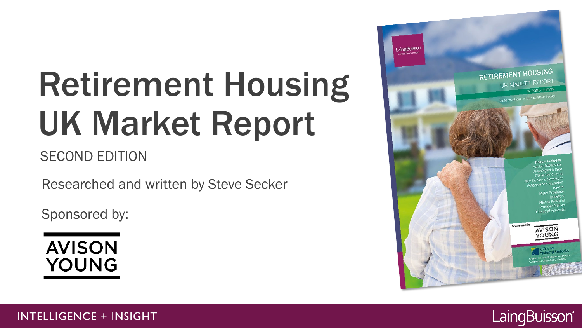# Retirement Housing UK Market Report

### SECOND EDITION

Researched and written by Steve Secker

Sponsored by:

**AVISON YOUNG** 



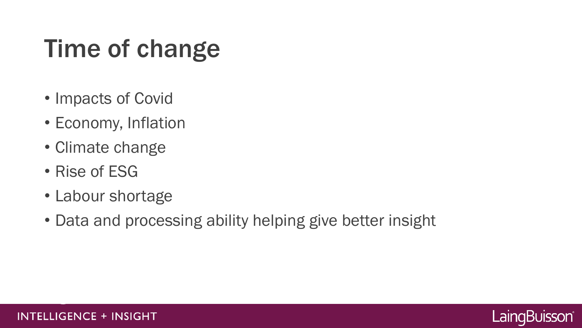## Time of change

- Impacts of Covid
- Economy, Inflation
- Climate change
- Rise of ESG
- Labour shortage
- Data and processing ability helping give better insight

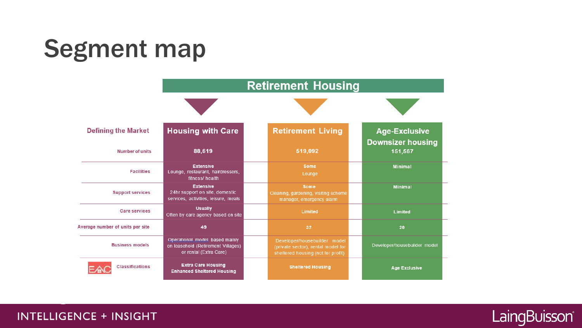## Segment map



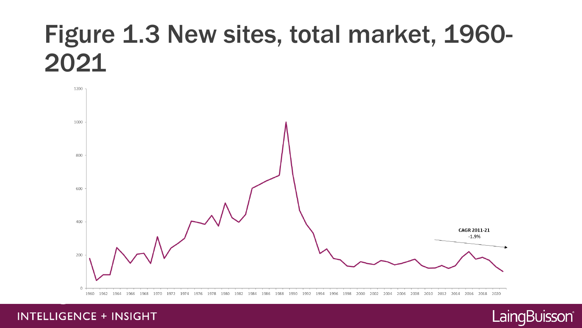### Figure 1.3 New sites, total market, 1960-2021



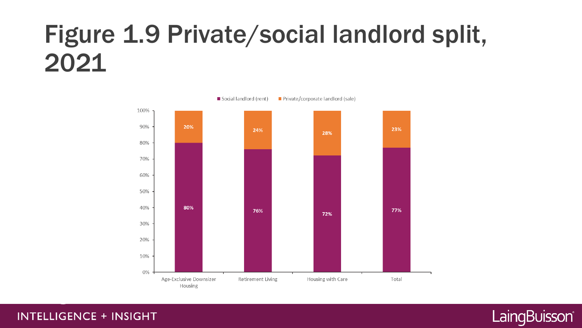### Figure 1.9 Private/social landlord split, 2021



Private/corporate landlord (sale) Social landlord (rent)

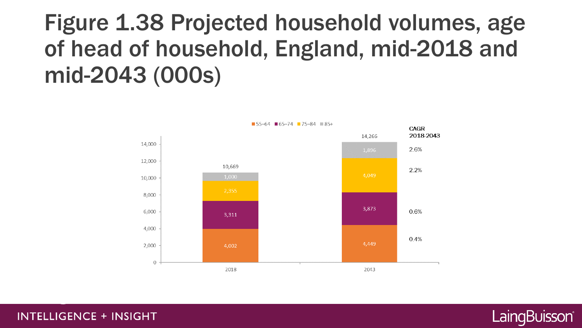### Figure 1.38 Projected household volumes, age of head of household, England, mid-2018 and mid-2043 (000s)



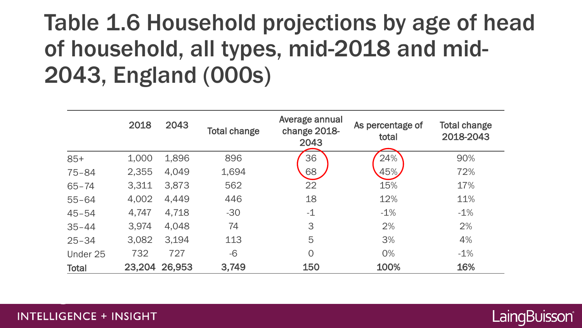### Table 1.6 Household projections by age of head of household, all types, mid-2018 and mid-2043, England (000s)

|              | 2018   | 2043   | <b>Total change</b> | Average annual<br>change 2018-<br>2043 | As percentage of<br>total | <b>Total change</b><br>2018-2043 |
|--------------|--------|--------|---------------------|----------------------------------------|---------------------------|----------------------------------|
| $85+$        | 1,000  | 1,896  | 896                 | 36                                     | 24%                       | 90%                              |
| $75 - 84$    | 2,355  | 4,049  | 1,694               | 68                                     | 45%                       | 72%                              |
| $65 - 74$    | 3,311  | 3,873  | 562                 | 22                                     | 15%                       | 17%                              |
| $55 - 64$    | 4,002  | 4,449  | 446                 | 18                                     | 12%                       | 11%                              |
| $45 - 54$    | 4,747  | 4,718  | $-30$               | $-1$                                   | $-1%$                     | $-1%$                            |
| $35 - 44$    | 3,974  | 4,048  | 74                  | 3                                      | 2%                        | 2%                               |
| $25 - 34$    | 3,082  | 3,194  | 113                 | 5                                      | 3%                        | 4%                               |
| Under 25     | 732    | 727    | $-6$                | $\overline{O}$                         | 0%                        | $-1%$                            |
| <b>Total</b> | 23,204 | 26,953 | 3,749               | 150                                    | 100%                      | 16%                              |

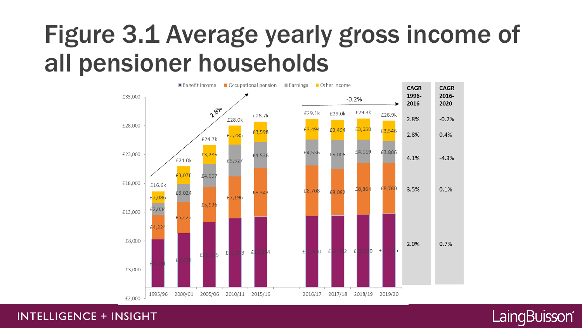### Figure 3.1 Average yearly gross income of all pensioner households



LaingBuisson®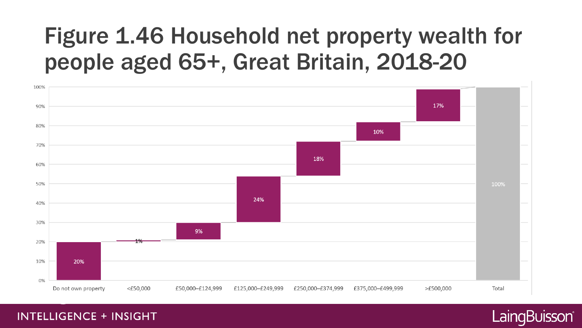### 90% 80% 10%



### Figure 1.46 Household net property wealth for people aged 65+, Great Britain, 2018-20

**INTELLIGENCE + INSIGHT** 

100%

### LaingBuisson®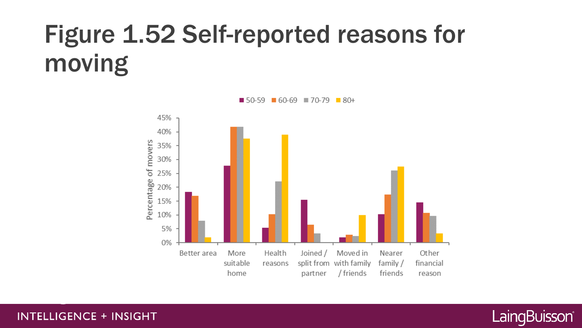## Figure 1.52 Self-reported reasons for moving



 $60-69$  270-79  $80+$ ■ 50-59

#### **INTELLIGENCE + INSIGHT**

### LaingBuisson®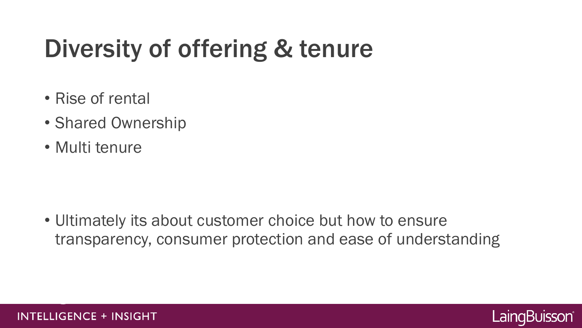## Diversity of offering & tenure

- Rise of rental
- Shared Ownership
- Multi tenure

• Ultimately its about customer choice but how to ensure transparency, consumer protection and ease of understanding

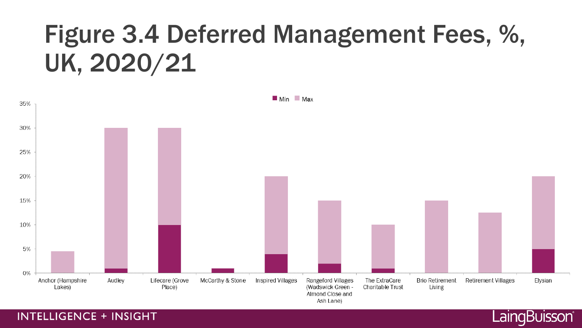### Figure 3.4 Deferred Management Fees, %, UK, 2020/21



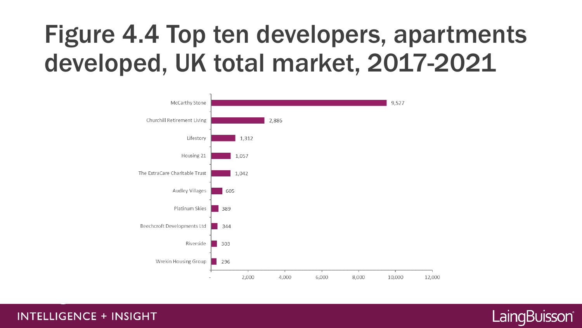## Figure 4.4 Top ten developers, apartments developed, UK total market, 2017-2021



LaingBuisson®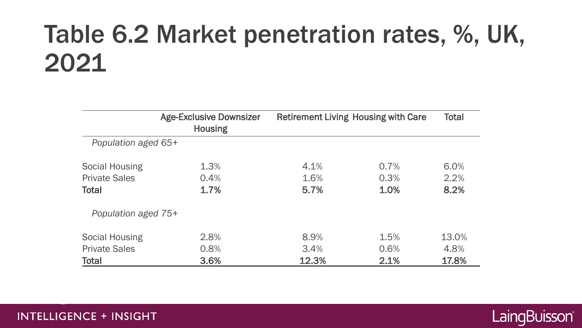### Table 6.2 Market penetration rates, %, UK, 2021

|                       | <b>Age-Exclusive Downsizer</b><br><b>Housing</b> | <b>Retirement Living Housing with Care</b> |      | <b>Total</b> |  |  |  |  |
|-----------------------|--------------------------------------------------|--------------------------------------------|------|--------------|--|--|--|--|
| Population aged 65+   |                                                  |                                            |      |              |  |  |  |  |
| <b>Social Housing</b> | 1.3%                                             | 4.1%                                       | 0.7% | 6.0%         |  |  |  |  |
| <b>Private Sales</b>  | 0.4%                                             | 1.6%                                       | 0.3% | 2.2%         |  |  |  |  |
| <b>Total</b>          | 1.7%                                             | 5.7%                                       | 1.0% | 8.2%         |  |  |  |  |
| Population aged 75+   |                                                  |                                            |      |              |  |  |  |  |
| <b>Social Housing</b> | 2.8%                                             | 8.9%                                       | 1.5% | 13.0%        |  |  |  |  |
| <b>Private Sales</b>  | 0.8%                                             | 3.4%                                       | 0.6% | 4.8%         |  |  |  |  |
| <b>Total</b>          | 3.6%                                             | 12.3%                                      | 2.1% | 17.8%        |  |  |  |  |

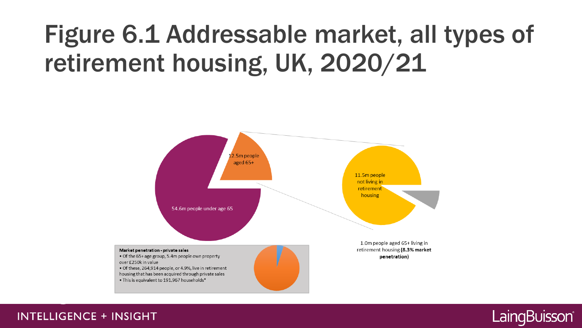## Figure 6.1 Addressable market, all types of retirement housing, UK, 2020/21



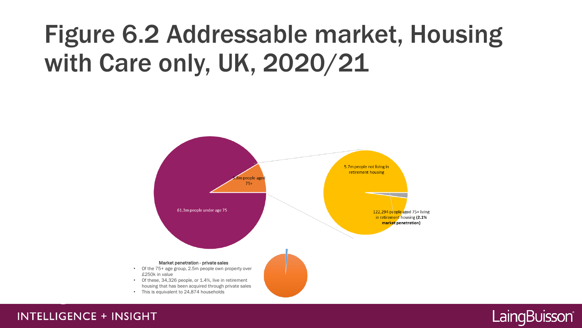## Figure 6.2 Addressable market, Housing with Care only, UK, 2020/21



#### **INTELLIGENCE + INSIGHT**

### LaingBuisson®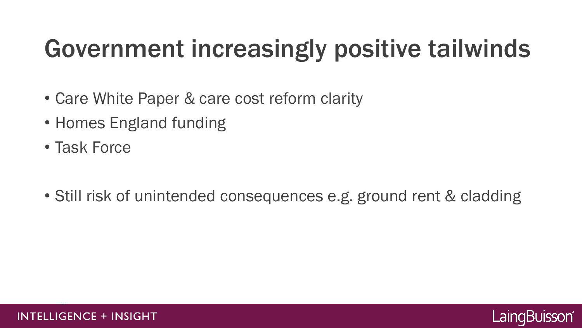## Government increasingly positive tailwinds

- Care White Paper & care cost reform clarity
- Homes England funding
- Task Force
- Still risk of unintended consequences e.g. ground rent & cladding

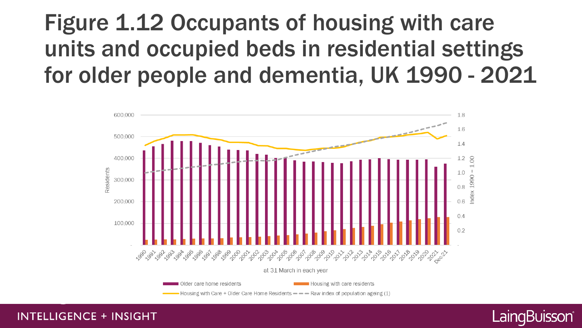### Figure 1.12 Occupants of housing with care units and occupied beds in residential settings for older people and dementia, UK 1990 - 2021



LaingBuisson®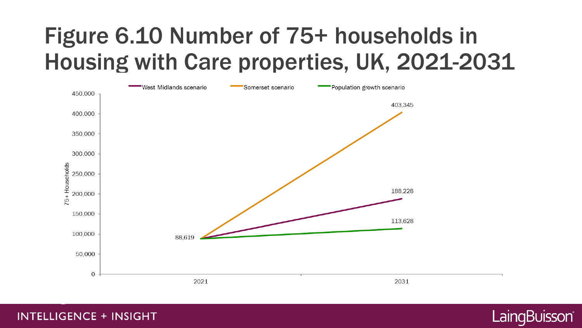### Figure 6.10 Number of 75+ households in Housing with Care properties, UK, 2021-2031